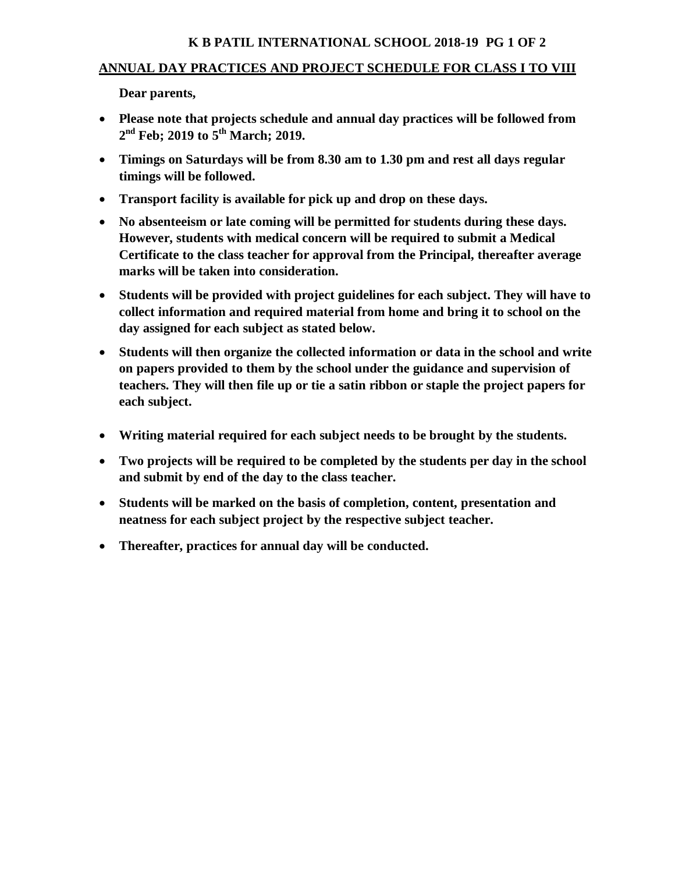## **K B PATIL INTERNATIONAL SCHOOL 2018-19 PG 1 OF 2**

## **ANNUAL DAY PRACTICES AND PROJECT SCHEDULE FOR CLASS I TO VIII**

**Dear parents,** 

- **Please note that projects schedule and annual day practices will be followed from 2 nd Feb; 2019 to 5 th March; 2019.**
- **Timings on Saturdays will be from 8.30 am to 1.30 pm and rest all days regular timings will be followed.**
- **Transport facility is available for pick up and drop on these days.**
- **No absenteeism or late coming will be permitted for students during these days. However, students with medical concern will be required to submit a Medical Certificate to the class teacher for approval from the Principal, thereafter average marks will be taken into consideration.**
- **Students will be provided with project guidelines for each subject. They will have to collect information and required material from home and bring it to school on the day assigned for each subject as stated below.**
- **Students will then organize the collected information or data in the school and write on papers provided to them by the school under the guidance and supervision of teachers. They will then file up or tie a satin ribbon or staple the project papers for each subject.**
- **Writing material required for each subject needs to be brought by the students.**
- **Two projects will be required to be completed by the students per day in the school and submit by end of the day to the class teacher.**
- **Students will be marked on the basis of completion, content, presentation and neatness for each subject project by the respective subject teacher.**
- **Thereafter, practices for annual day will be conducted.**